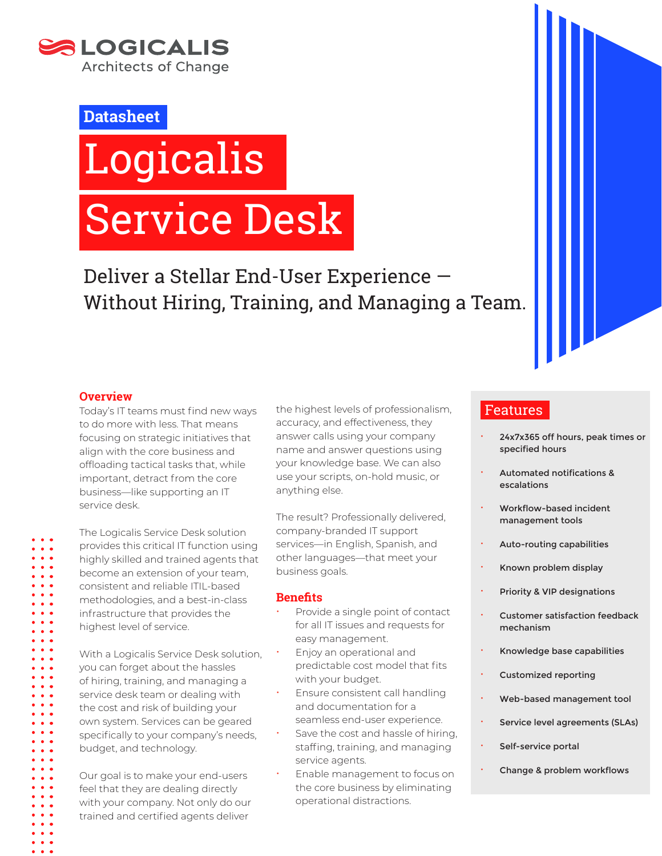

# **Datasheet**

# **Logicalis** Service Desk

Deliver a Stellar End-User Experience — Without Hiring, Training, and Managing a Team.

### **Overview**

Today's IT teams must find new ways to do more with less. That means focusing on strategic initiatives that align with the core business and offloading tactical tasks that, while important, detract from the core business—like supporting an IT service desk.

The Logicalis Service Desk solution provides this critical IT function using highly skilled and trained agents that become an extension of your team, consistent and reliable ITIL-based methodologies, and a best-in-class infrastructure that provides the highest level of service.

With a Logicalis Service Desk solution, you can forget about the hassles of hiring, training, and managing a service desk team or dealing with the cost and risk of building your own system. Services can be geared specifically to your company's needs, budget, and technology.

Our goal is to make your end-users feel that they are dealing directly with your company. Not only do our trained and certified agents deliver

the highest levels of professionalism, accuracy, and effectiveness, they answer calls using your company name and answer questions using your knowledge base. We can also use your scripts, on-hold music, or anything else.

The result? Professionally delivered, company-branded IT support services—in English, Spanish, and other languages—that meet your business goals.

#### **Benefits**

- Provide a single point of contact for all IT issues and requests for easy management.
- Enjoy an operational and predictable cost model that fits with your budget.
- Ensure consistent call handling and documentation for a seamless end-user experience.
- Save the cost and hassle of hiring, staffing, training, and managing service agents.
- Enable management to focus on the core business by eliminating operational distractions.

# Features

- x 24x7x365 off hours, peak times or specified hours
- x Automated notifications & escalations
- **\*** Workflow-based incident management tools
- x Auto-routing capabilities
- x Known problem display
- Priority & VIP designations
- x Customer satisfaction feedback mechanism
- x Knowledge base capabilities
- **·** Customized reporting
- x Web-based management tool
- **EXECUTE:** Service level agreements (SLAs)
- Self-service portal
- x Change & problem workflows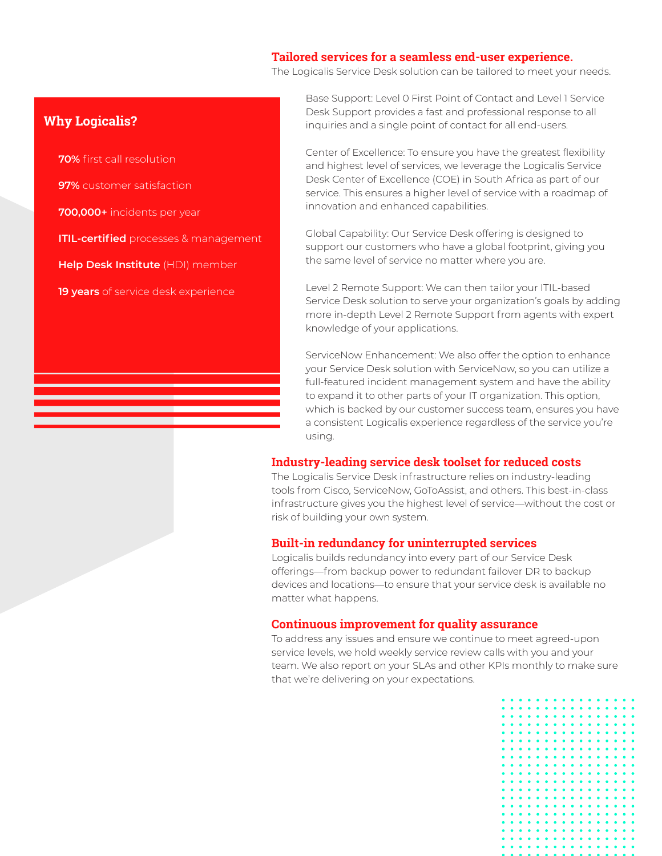#### **Tailored services for a seamless end-user experience.**

The Logicalis Service Desk solution can be tailored to meet your needs.

## **Why Logicalis?**

**70%** first call resolution **97%** customer satisfaction **700,000+** incidents per year **ITIL-certified** processes & management **Help Desk Institute** (HDI) member **19 years** of service desk experience

Base Support: Level 0 First Point of Contact and Level 1 Service Desk Support provides a fast and professional response to all inquiries and a single point of contact for all end-users.

Center of Excellence: To ensure you have the greatest flexibility and highest level of services, we leverage the Logicalis Service Desk Center of Excellence (COE) in South Africa as part of our service. This ensures a higher level of service with a roadmap of innovation and enhanced capabilities.

Global Capability: Our Service Desk offering is designed to support our customers who have a global footprint, giving you the same level of service no matter where you are.

Level 2 Remote Support: We can then tailor your ITIL-based Service Desk solution to serve your organization's goals by adding more in-depth Level 2 Remote Support from agents with expert knowledge of your applications.

ServiceNow Enhancement: We also offer the option to enhance your Service Desk solution with ServiceNow, so you can utilize a full-featured incident management system and have the ability to expand it to other parts of your IT organization. This option, which is backed by our customer success team, ensures you have a consistent Logicalis experience regardless of the service you're using.

#### **Industry-leading service desk toolset for reduced costs**

The Logicalis Service Desk infrastructure relies on industry-leading tools from Cisco, ServiceNow, GoToAssist, and others. This best-in-class infrastructure gives you the highest level of service—without the cost or risk of building your own system.

#### **Built-in redundancy for uninterrupted services**

Logicalis builds redundancy into every part of our Service Desk offerings—from backup power to redundant failover DR to backup devices and locations—to ensure that your service desk is available no matter what happens.

#### **Continuous improvement for quality assurance**

To address any issues and ensure we continue to meet agreed-upon service levels, we hold weekly service review calls with you and your team. We also report on your SLAs and other KPIs monthly to make sure that we're delivering on your expectations.